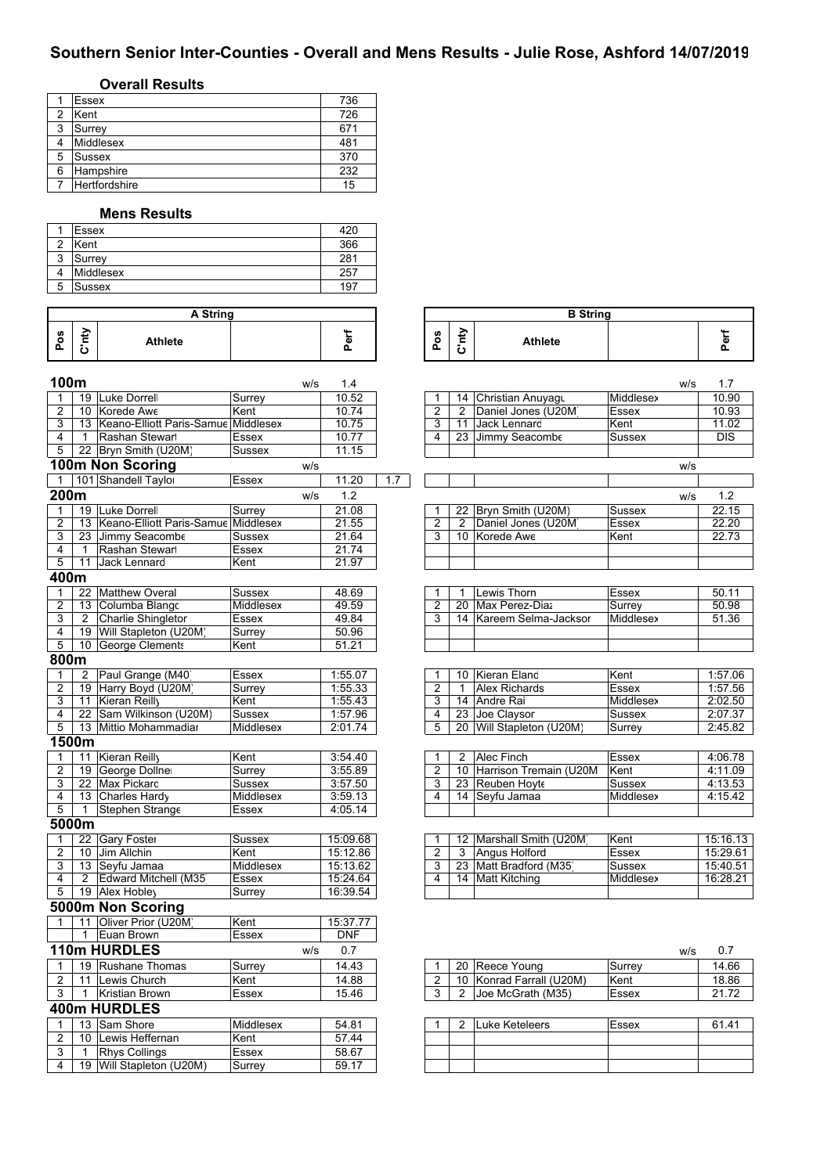# **Southern Senior Inter-Counties - Overall and Mens Results - Julie Rose, Ashford 14/07/2019**

## **Overall Results**

|   | <b>Essex</b>  | 736 |
|---|---------------|-----|
| ◠ | Kent          | 726 |
| 3 | Surrey        | 671 |
|   | Middlesex     | 481 |
| 5 | Sussex        | 370 |
| 6 | Hampshire     | 232 |
|   | Hertfordshire | 15  |

#### **Mens Results**

|   | Essex            | 420 |
|---|------------------|-----|
| っ | Kent             | 366 |
| 3 | Surrey           | 281 |
|   | <b>Middlesex</b> | 257 |
| 5 | Sussex           | 197 |

|                    | A String            |                |  |   |  |  |  |  |  |
|--------------------|---------------------|----------------|--|---|--|--|--|--|--|
| <b>S</b><br>o<br>n | -<br>-<br>$\bullet$ | <b>Athlete</b> |  | ω |  |  |  |  |  |

| A String |             |                    | <b>B</b> String |                |  |
|----------|-------------|--------------------|-----------------|----------------|--|
|          | $\sim$<br>ட | රී<br>$\mathbf{a}$ | ະ<br>-<br>ပ     | <b>Athlete</b> |  |

| 100m           |                 |                                        | w/s              | 1.4        |     |                |                |                            | W/S           | 1.7        |
|----------------|-----------------|----------------------------------------|------------------|------------|-----|----------------|----------------|----------------------------|---------------|------------|
| 1              |                 | 19 Luke Dorrel                         | Surrey           | 10.52      |     | 1              |                | 14 Christian Anuyagu       | Middlesex     | 10.90      |
| $\overline{2}$ |                 | 10 Korede Awe                          | Kent             | 10.74      |     | $\overline{2}$ | $\overline{2}$ | Daniel Jones (U20M)        | Essex         | 10.93      |
| 3              |                 | 13 Keano-Elliott Paris-Samue Middlesex |                  | 10.75      |     | $\overline{3}$ | 11             | Jack Lennard               | Kent          | 11.02      |
| 4              | $\mathbf{1}$    | Rashan Stewar                          | Essex            | 10.77      |     | 4              | 23             | Jimmy Seacombe             | Sussex        | <b>DIS</b> |
| 5              |                 | 22 Bryn Smith (U20M)                   | <b>Sussex</b>    | 11.15      |     |                |                |                            |               |            |
|                |                 | 100m Non Scoring                       | W/S              |            |     |                |                |                            | W/S           |            |
| $\mathbf{1}$   |                 | 101 Shandell Taylor                    | Essex            | 11.20      | 1.7 |                |                |                            |               |            |
| 200m           |                 |                                        | W/S              | 1.2        |     |                |                |                            | W/S           | 1.2        |
| 1              | 19              | Luke Dorrel                            | Surrey           | 21.08      |     |                |                | 22 Bryn Smith (U20M)       | Sussex        | 22.15      |
| $\overline{2}$ | $\overline{13}$ | Keano-Elliott Paris-Samue              | Middlesex        | 21.55      |     | $\overline{2}$ | 2              | Daniel Jones (U20M)        | Essex         | 22.20      |
| 3              | 23              | Jimmy Seacombe                         | Sussex           | 21.64      |     | 3              |                | 10 Korede Awe              | Kent          | 22.73      |
| 4              | $\mathbf{1}$    | Rashan Stewar                          | Essex            | 21.74      |     |                |                |                            |               |            |
| 5              | 11              | Jack Lennard                           | Kent             | 21.97      |     |                |                |                            |               |            |
| 400m           |                 |                                        |                  |            |     |                |                |                            |               |            |
| $\mathbf{1}$   |                 | 22 Matthew Overal                      | <b>Sussex</b>    | 48.69      |     | 1              |                | Lewis Thorn                | Essex         | 50.11      |
| $\overline{2}$ | 13              | Columba Blango                         | Middlesex        | 49.59      |     | $\overline{2}$ | 20             | Max Perez-Diaz             | Surrey        | 50.98      |
| 3              | 2               | Charlie Shingletor                     | Essex            | 49.84      |     | 3              |                | 14 Kareem Selma-Jacksor    | Middlesex     | 51.36      |
| 4              |                 | 19 Will Stapleton (U20M)               | Surrey           | 50.96      |     |                |                |                            |               |            |
| 5              |                 | 10 George Clements                     | Kent             | 51.21      |     |                |                |                            |               |            |
| 800m           |                 |                                        |                  |            |     |                |                |                            |               |            |
| 1              | 2               | Paul Grange (M40)                      | Essex            | 1:55.07    |     | 1              |                | 10 Kieran Eland            | Kent          | 1:57.06    |
| $\overline{2}$ |                 | 19 Harry Boyd (U20M                    | Surrey           | 1:55.33    |     | $\overline{2}$ | $\mathbf{1}$   | <b>Alex Richards</b>       | <b>Essex</b>  | 1:57.56    |
| 3              |                 | 11 Kieran Reilly                       | Kent             | 1:55.43    |     | 3              |                | 14 Andre Rai               | Middlesex     | 2:02.50    |
| $\overline{4}$ |                 | 22 Sam Wilkinson (U20M)                | <b>Sussex</b>    | 1:57.96    |     | $\overline{4}$ |                | 23 Joe Claysor             | <b>Sussex</b> | 2:07.37    |
| $\overline{5}$ |                 | 13 Mittio Mohammadiar                  | Middlesex        | 2:01.74    |     | $\overline{5}$ |                | 20 Will Stapleton (U20M)   | Surrey        | 2:45.82    |
|                | 1500m           |                                        |                  |            |     |                |                |                            |               |            |
| 1              |                 | 11 Kieran Reilly                       | Kent             | 3:54.40    |     | $\mathbf{1}$   | $\overline{2}$ | Alec Finch                 | <b>Essex</b>  | 4:06.78    |
| $\overline{2}$ |                 | 19 George Dollner                      | Surrey           | 3:55.89    |     | $\overline{2}$ |                | 10 Harrison Tremain (U20M) | Kent          | 4:11.09    |
| 3              |                 | 22 Max Pickard                         | <b>Sussex</b>    | 3:57.50    |     | $\overline{3}$ |                | 23 Reuben Hoyte            | Sussex        | 4:13.53    |
| 4              |                 | 13 Charles Hardy                       | Middlesex        | 3:59.13    |     | 4              |                | 14 Seyfu Jamaa             | Middlesex     | 4:15.42    |
| 5              | $\mathbf{1}$    | Stephen Strange                        | Essex            | 4:05.14    |     |                |                |                            |               |            |
|                | 5000m           |                                        |                  |            |     |                |                |                            |               |            |
| 1              |                 | 22 Gary Foster                         | Sussex           | 15:09.68   |     | $\mathbf{1}$   |                | 12 Marshall Smith (U20M    | Kent          | 15:16.13   |
| $\overline{2}$ |                 | 10 Jim Allchin                         | Kent             | 15:12.86   |     | $\overline{2}$ | 3              | Angus Holford              | Essex         | 15:29.61   |
| 3              |                 | 13 Seyfu Jamaa                         | Middlesex        | 15:13.62   |     | 3              |                | 23 Matt Bradford (M35)     | Sussex        | 15:40.51   |
| $\overline{4}$ | $\overline{2}$  | Edward Mitchell (M35)                  | Essex            | 15:24.64   |     | 4              |                | 14 Matt Kitching           | Middlesex     | 16:28.21   |
| $\overline{5}$ |                 | 19 Alex Hobley                         | Surrey           | 16:39.54   |     |                |                |                            |               |            |
|                |                 | 5000m Non Scoring                      |                  |            |     |                |                |                            |               |            |
| 1              | 11              | Oliver Prior (U20M                     | Kent             | 15:37.77   |     |                |                |                            |               |            |
|                | $\mathbf{1}$    | Euan Brown                             | Essex            | <b>DNF</b> |     |                |                |                            |               |            |
|                |                 | 110m HURDLES                           | W/S              | 0.7        |     |                |                |                            | w/s           | 0.7        |
| $\mathbf{1}$   |                 | 19 Rushane Thomas                      | Surrey           | 14.43      |     | 1              |                | 20 Reece Young             | Surrey        | 14.66      |
| $\overline{2}$ |                 | 11 Lewis Church                        | Kent             | 14.88      |     | 2              |                | 10 Konrad Farrall (U20M)   | Kent          | 18.86      |
| 3              | $\mathbf{1}$    | <b>Kristian Brown</b>                  | <b>Essex</b>     | 15.46      |     | 3              | 2              | Joe McGrath (M35)          | <b>Essex</b>  | 21.72      |
|                |                 |                                        |                  |            |     |                |                |                            |               |            |
|                |                 | 400m HURDLES                           |                  |            |     |                |                |                            |               |            |
| 1              |                 | 13 Sam Shore                           | <b>Middlesex</b> | 54.81      |     | $\mathbf{1}$   | 2              | Luke Keteleers             | <b>Essex</b>  | 61.41      |
| $\overline{2}$ |                 | 10 Lewis Heffernan                     | Kent             | 57.44      |     |                |                |                            |               |            |
| 3              | $\mathbf{1}$    | <b>Rhys Collings</b>                   | <b>Essex</b>     | 58.67      |     |                |                |                            |               |            |
| 4              |                 | 19 Will Stapleton (U20M)               | Surrey           | 59.17      |     |                |                |                            |               |            |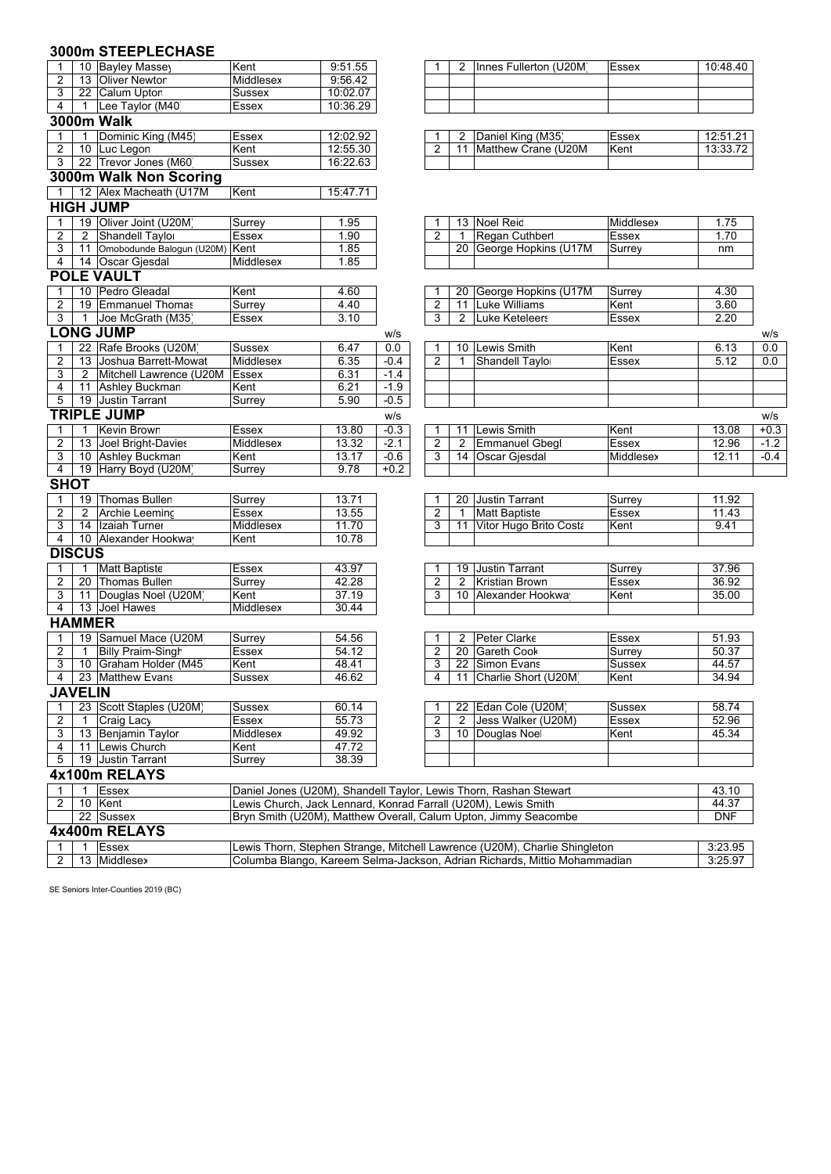|                |                | 3000m STEEPLECHASE                |                                                                |          |        |                |                |                                                                            |              |            |        |
|----------------|----------------|-----------------------------------|----------------------------------------------------------------|----------|--------|----------------|----------------|----------------------------------------------------------------------------|--------------|------------|--------|
| 1              |                | 10 Bayley Massey                  | Kent                                                           | 9:51.55  |        |                | 2              | Innes Fullerton (U20M)                                                     | <b>Essex</b> | 10:48.40   |        |
| 2              |                | 13 Oliver Newtor                  | Middlesex                                                      | 9:56.42  |        |                |                |                                                                            |              |            |        |
| 3              |                | 22 Calum Upton                    | Sussex                                                         | 10:02.07 |        |                |                |                                                                            |              |            |        |
| 4              |                | 1 Lee Taylor (M40)                | Essex                                                          | 10:36.29 |        |                |                |                                                                            |              |            |        |
|                |                | <b>3000m Walk</b>                 |                                                                |          |        |                |                |                                                                            |              |            |        |
| 1              | 1              | Dominic King (M45)                | Essex                                                          | 12:02.92 |        |                | 2              | Daniel King (M35)                                                          | <b>Essex</b> | 12:51.21   |        |
| 2              |                | 10 Luc Legon                      | Kent                                                           | 12:55.30 |        | 2              | 11             | Matthew Crane (U20M                                                        | Kent         | 13:33.72   |        |
| 3              |                | 22 Trevor Jones (M60)             | <b>Sussex</b>                                                  | 16:22.63 |        |                |                |                                                                            |              |            |        |
|                |                | 3000m Walk Non Scoring            |                                                                |          |        |                |                |                                                                            |              |            |        |
| $\mathbf{1}$   |                | 12 Alex Macheath (U17M            | Kent                                                           | 15:47.71 |        |                |                |                                                                            |              |            |        |
|                |                | <b>HIGH JUMP</b>                  |                                                                |          |        |                |                |                                                                            |              |            |        |
| 1              |                | 19 Oliver Joint (U20M)            | Surrey                                                         | 1.95     |        |                |                | 13 Noel Reid                                                               | Middlesex    | 1.75       |        |
| 2              |                | 2 Shandell Taylor                 | Essex                                                          | 1.90     |        | 2              | $\mathbf{1}$   | Regan Cuthber                                                              | Essex        | 1.70       |        |
| 3              |                | 11 Omobodunde Balogun (U20M) Kent |                                                                | 1.85     |        |                |                | 20 George Hopkins (U17M                                                    | Surrey       | nm         |        |
| 4              |                | 14 Oscar Gjesdal                  | Middlesex                                                      | 1.85     |        |                |                |                                                                            |              |            |        |
|                |                | <b>POLE VAULT</b>                 |                                                                |          |        |                |                |                                                                            |              |            |        |
| $\mathbf{1}$   |                | 10 Pedro Gleadal                  | Kent                                                           | 4.60     |        |                |                | 20 George Hopkins (U17M                                                    | Surrey       | 4.30       |        |
| 2              |                | 19 Emmanuel Thomas                | Surrey                                                         | 4.40     |        | $\overline{2}$ |                | 11 Luke Williams                                                           | Kent         | 3.60       |        |
| 3              |                | 1 Joe McGrath (M35)               | Essex                                                          | 3.10     |        | 3              | $\overline{2}$ | <b>Luke Keteleers</b>                                                      | Essex        | 2.20       |        |
|                |                | <b>LONG JUMP</b>                  |                                                                |          | W/S    |                |                |                                                                            |              |            | w/s    |
| 1              |                | 22 Rafe Brooks (U20M)             | <b>Sussex</b>                                                  | 6.47     | 0.0    |                |                | 10 Lewis Smith                                                             | Kent         | 6.13       | 0.0    |
| 2              |                | 13 Joshua Barrett-Mowat           | Middlesex                                                      | 6.35     | $-0.4$ | 2              | 1              | Shandell Taylo                                                             | Essex        | 5.12       | 0.0    |
| 3              |                | 2 Mitchell Lawrence (U20M         | <b>Essex</b>                                                   | 6.31     | $-1.4$ |                |                |                                                                            |              |            |        |
| 4              |                | 11 Ashley Buckman                 | Kent                                                           | 6.21     | $-1.9$ |                |                |                                                                            |              |            |        |
| 5              |                | 19 Justin Tarrant                 | Surrey                                                         | 5.90     | $-0.5$ |                |                |                                                                            |              |            |        |
|                |                | <b>TRIPLE JUMP</b>                |                                                                |          | W/S    |                |                |                                                                            |              |            | W/S    |
| 1              |                | 1 Kevin Brown                     | <b>Essex</b>                                                   | 13.80    | $-0.3$ | 1              |                | 11 Lewis Smith                                                             | Kent         | 13.08      | $+0.3$ |
| 2              |                | 13 Joel Bright-Davies             | Middlesex                                                      | 13.32    | $-2.1$ | 2              | 2              | <b>Emmanuel Gbegl</b>                                                      | Essex        | 12.96      | -1.2   |
| 3              |                | 10 Ashley Buckman                 | Kent                                                           | 13.17    | $-0.6$ | 3              |                | 14 Oscar Giesdal                                                           | Middlesex    | 12.11      | $-0.4$ |
| 4              |                | 19 Harry Boyd (U20M)              | Surrey                                                         | 9.78     | $+0.2$ |                |                |                                                                            |              |            |        |
| <b>SHOT</b>    |                |                                   |                                                                |          |        |                |                |                                                                            |              |            |        |
| 1              |                | 19 Thomas Bullen                  | Surrey                                                         | 13.71    |        |                |                | 20 Justin Tarrant                                                          | Surrey       | 11.92      |        |
| 2              | 2              | Archie Leeminc                    | Essex                                                          | 13.55    |        | 2              | $\mathbf{1}$   | <b>Matt Baptiste</b>                                                       | <b>Essex</b> | 11.43      |        |
| 3              |                | 14 Izaiah Turner                  | Middlesex                                                      | 11.70    |        | 3              | 11             | Vitor Hugo Brito Costa                                                     | Kent         | 9.41       |        |
| 4              |                | 10 Alexander Hookway              | Kent                                                           | 10.78    |        |                |                |                                                                            |              |            |        |
|                | <b>DISCUS</b>  |                                   |                                                                |          |        |                |                |                                                                            |              |            |        |
| 1              | $\mathbf{1}$   | <b>Matt Baptiste</b>              | Essex                                                          | 43.97    |        |                |                | 19 Justin Tarrant                                                          | Surrey       | 37.96      |        |
| 2              |                | 20 Thomas Bullen                  | Surrey                                                         | 42.28    |        | 2              | 2              | <b>Kristian Brown</b>                                                      | Essex        | 36.92      |        |
| 3              |                | 11 Douglas Noel (U20M)            | Kent                                                           | 37.19    |        | 3              |                | 10 Alexander Hookwa                                                        | Kent         | 35.00      |        |
| 4              |                | 13 Joel Hawes                     | Middlesex                                                      | 30.44    |        |                |                |                                                                            |              |            |        |
|                | <b>HAMMER</b>  |                                   |                                                                |          |        |                |                |                                                                            |              |            |        |
| 1              |                | 19 Samuel Mace (U20M              | Surrey                                                         | 54.56    |        |                | 2              | Peter Clarke                                                               | Essex        | 51.93      |        |
| 2              | $\mathbf{1}$   | <b>Billy Praim-Singh</b>          | Essex                                                          | 54.12    |        | 2              |                | 20 Gareth Cook                                                             | Surrey       | 50.37      |        |
|                |                | 3 10 Graham Holder (M45           | Kent                                                           | 48.41    |        | $\overline{3}$ |                | 22 Simon Evans                                                             | Sussex       | 44.57      |        |
|                |                | 4 23 Matthew Evans                | Sussex                                                         | 46.62    |        | $\overline{4}$ |                | 11 Charlie Short (U20M                                                     | Kent         | 34.94      |        |
|                | <b>JAVELIN</b> |                                   |                                                                |          |        |                |                |                                                                            |              |            |        |
| 1              |                | 23 Scott Staples (U20M)           | Sussex                                                         | 60.14    |        |                |                | 22 Edan Cole (U20M)                                                        | Sussex       | 58.74      |        |
| $\overline{2}$ | 1              | Craig Lacy                        | Essex                                                          | 55.73    |        | 2              | $\overline{2}$ | Jess Walker (U20M)                                                         | Essex        | 52.96      |        |
| 3              |                | 13 Benjamin Taylor                | Middlesex                                                      | 49.92    |        | 3              |                | 10 Douglas Noe                                                             | Kent         | 45.34      |        |
| 4              |                | 11 Lewis Church                   | Kent                                                           | 47.72    |        |                |                |                                                                            |              |            |        |
| 5              |                | 19 Justin Tarrant                 | Surrey                                                         | 38.39    |        |                |                |                                                                            |              |            |        |
|                |                | 4x100m RELAYS                     |                                                                |          |        |                |                |                                                                            |              |            |        |
| 1              |                | 1 Essex                           |                                                                |          |        |                |                | Daniel Jones (U20M), Shandell Taylor, Lewis Thorn, Rashan Stewart          |              | 43.10      |        |
| 2              |                | 10 Kent                           | Lewis Church, Jack Lennard, Konrad Farrall (U20M), Lewis Smith |          |        |                |                |                                                                            |              | 44.37      |        |
|                |                | 22 Sussex                         |                                                                |          |        |                |                | Bryn Smith (U20M), Matthew Overall, Calum Upton, Jimmy Seacombe            |              | <b>DNF</b> |        |
|                |                | 4x400m RELAYS                     |                                                                |          |        |                |                |                                                                            |              |            |        |
| $\mathbf{1}$   | $\mathbf{1}$   | Essex                             |                                                                |          |        |                |                | Lewis Thorn, Stephen Strange, Mitchell Lawrence (U20M), Charlie Shingleton |              | 3:23.95    |        |

2 | 13 |Middlesex |Columba Blango, Kareem Selma-Jackson, Adrian Richards, Mittio Mohammadian | 3:25.97

Columba Blango, Kareem Selma-Jackson, Adrian Richards, Mittio Mohammadian

SE Seniors Inter-Counties 2019 (BC)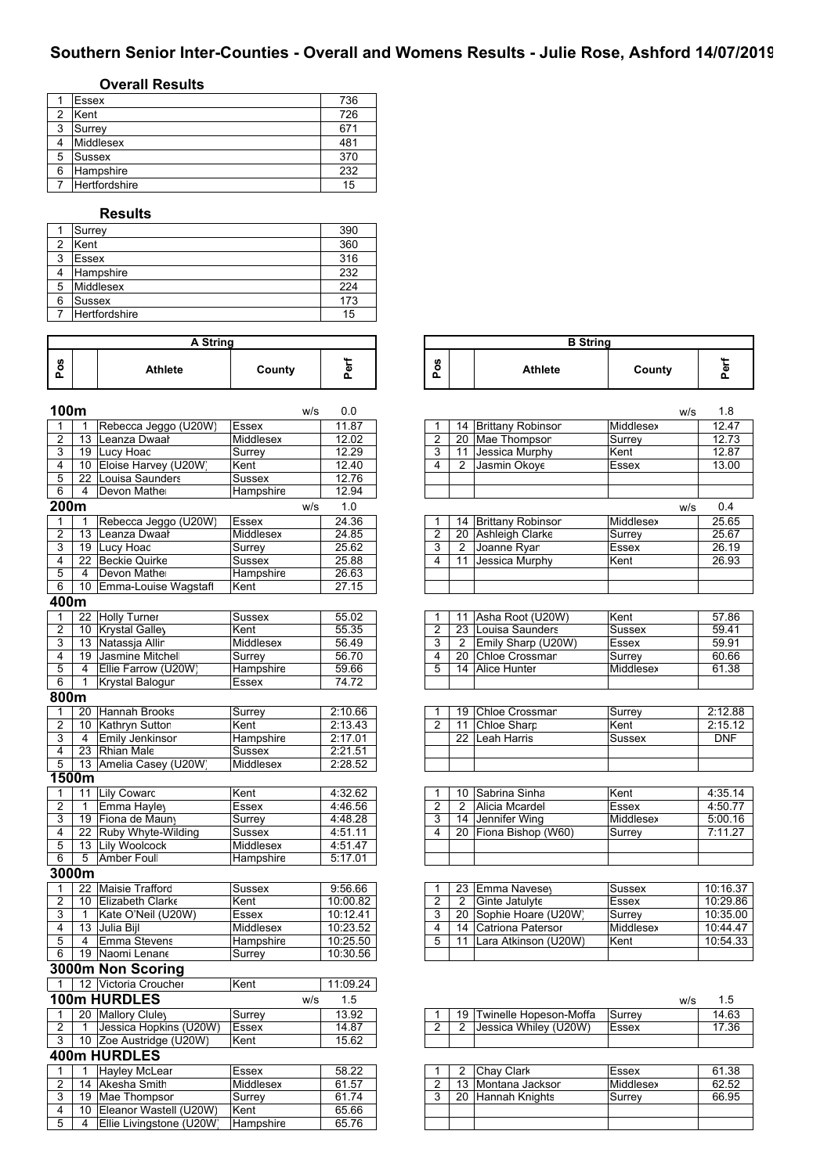## **Southern Senior Inter-Counties - Overall and Womens Results - Julie Rose, Ashford 14/07/2019**

## **Overall Results**

|   | <b>Essex</b>  | 736 |
|---|---------------|-----|
| ◠ | Kent          | 726 |
| 3 | Surrey        | 671 |
|   | Middlesex     | 481 |
| 5 | Sussex        | 370 |
| 6 | Hampshire     | 232 |
|   | Hertfordshire | 15  |

#### **Results**

|   | Surrey        | 390 |
|---|---------------|-----|
| 2 | Kent          | 360 |
| 3 | Essex         | 316 |
|   | Hampshire     | 232 |
| 5 | Middlesex     | 224 |
| 6 | Sussex        | 173 |
|   | Hertfordshire | 15  |

| A String |  |                |        |   |  |  |  |  |  |
|----------|--|----------------|--------|---|--|--|--|--|--|
| n        |  | <b>Athlete</b> | County | ው |  |  |  |  |  |

| 100m           |                 |                                         | W/S           | 0.0                 |                |                 |                                        |               | w/s | 1.8            |
|----------------|-----------------|-----------------------------------------|---------------|---------------------|----------------|-----------------|----------------------------------------|---------------|-----|----------------|
| $\mathbf{1}$   | 1               | Rebecca Jeggo (U20W)                    | <b>Essex</b>  | 11.87               | 1              |                 | 14 Brittany Robinsor                   | Middlesex     |     | 12.47          |
| $\overline{2}$ | 13              | Leanza Dwaał                            | Middlesex     | 12.02               | $\overline{2}$ |                 | 20 Mae Thompson                        | Surrey        |     | 12.73          |
| 3              |                 | 19 Lucy Hoad                            | Surrev        | 12.29               | 3              | 11              | Jessica Murphy                         | Kent          |     | 12.87          |
| 4              | 10 <sup>°</sup> | Eloise Harvey (U20W                     | Kent          | 12.40               | $\overline{4}$ | 2               | Jasmin Okoye                           | Essex         |     | 13.00          |
| 5              | 22              | Louisa Saunders                         | <b>Sussex</b> | 12.76               |                |                 |                                        |               |     |                |
| 6              | $\overline{4}$  | Devon Mather                            | Hampshire     | 12.94               |                |                 |                                        |               |     |                |
| 200m           |                 |                                         | w/s           | 1.0                 |                |                 |                                        |               | W/S | 0.4            |
| 1              | 1               | Rebecca Jeggo (U20W)                    | Essex         | 24.36               | 1              | 14              | <b>Brittany Robinsor</b>               | Middlesex     |     | 25.65          |
| $\overline{2}$ | $\overline{13}$ | Leanza Dwaał                            | Middlesex     | 24.85               | $\overline{2}$ |                 | 20 Ashleigh Clarke                     | Surrey        |     | 25.67          |
| 3              | 19              | Lucy Hoad                               | Surrey        | 25.62               | 3              | $\overline{2}$  | Joanne Ryar                            | Essex         |     | 26.19          |
| 4              | 22              | <b>Beckie Quirke</b>                    | <b>Sussex</b> | 25.88               | 4              | 11              | Jessica Murphy                         | Kent          |     | 26.93          |
| 5              | $\overline{4}$  | Devon Mather                            | Hampshire     | 26.63               |                |                 |                                        |               |     |                |
| 6              | 10              | Emma-Louise Wagstaff                    | Kent          | 27.15               |                |                 |                                        |               |     |                |
| 400m           |                 |                                         |               |                     |                |                 |                                        |               |     |                |
| $\mathbf{1}$   |                 | 22 Holly Turner                         | <b>Sussex</b> | 55.02               | 1              | 11              | Asha Root (U20W)                       | Kent          |     | 57.86          |
| $\overline{2}$ | 10              | Krystal Galley                          | Kent          | 55.35               | $\overline{2}$ |                 | 23 Louisa Saunders                     | <b>Sussex</b> |     | 59.41          |
| 3              |                 | 13 Natassia Allin                       | Middlesex     | 56.49               | 3              | 2               | Emily Sharp (U20W)                     | <b>Essex</b>  |     | 59.91          |
| 4              |                 | 19 Jasmine Mitchel                      | Surrey        | 56.70               | 4              | 20              | Chloe Crossman                         | Surrey        |     | 60.66          |
| 5              | $\overline{4}$  | Ellie Farrow (U20W)                     | Hampshire     | 59.66               | $\overline{5}$ | $\overline{14}$ | <b>Alice Hunter</b>                    | Middlesex     |     | 61.38          |
| 6              | $\mathbf{1}$    | <b>Krystal Balogur</b>                  | Essex         | 74.72               |                |                 |                                        |               |     |                |
| 800m           |                 |                                         |               |                     |                |                 |                                        |               |     |                |
| 1              | 20              | <b>Hannah Brooks</b>                    | Surrey        | 2:10.66             |                | 19              | Chloe Crossman                         | Surrey        |     | 2:12.88        |
| $\overline{2}$ | 10              | Kathryn Suttor                          | Kent          | 2:13.43             | $\overline{2}$ | 11              | <b>Chloe Sharp</b>                     | Kent          |     | 2:15.12        |
| 3              | $\overline{4}$  | Emily Jenkinson                         | Hampshire     | 2:17.01             |                | $\overline{22}$ | <b>Leah Harris</b>                     | Sussex        |     | <b>DNF</b>     |
| $\overline{4}$ | $\overline{23}$ | Rhian Male                              | <b>Sussex</b> | 2:21.51             |                |                 |                                        |               |     |                |
| 5              |                 | 13 Amelia Casey (U20W)                  | Middlesex     | 2:28.52             |                |                 |                                        |               |     |                |
|                | 1500m           |                                         |               |                     |                |                 |                                        |               |     |                |
| $\mathbf{1}$   |                 | 11 Lily Coward                          | Kent          | 4:32.62             | 1              | 10              | Sabrina Sinha                          | Kent          |     | 4:35.14        |
| $\overline{c}$ | $\mathbf{1}$    | Emma Hayley                             | Essex         | 4:46.56             | $\overline{2}$ | $\overline{2}$  | Alicia Mcardel                         | <b>Essex</b>  |     | 4:50.77        |
| 3              |                 | 19 Fiona de Mauny                       | Surrey        | 4:48.28             | 3              |                 | 14 Jennifer Wing                       | Middlesex     |     | 5:00.16        |
| 4              |                 | 22 Ruby Whyte-Wilding                   | Sussex        | 4:51.11             | $\overline{4}$ |                 | 20 Fiona Bishop (W60)                  | Surrey        |     | 7:11.27        |
| $\overline{5}$ |                 | 13 Lily Woolcock                        | Middlesex     | 4:51.47             |                |                 |                                        |               |     |                |
| $\overline{6}$ | $\overline{5}$  | <b>Amber Foull</b>                      | Hampshire     | 5:17.01             |                |                 |                                        |               |     |                |
|                | 3000m           |                                         |               |                     |                |                 |                                        |               |     |                |
| 1              | 22              | Maisie Trafford                         | Sussex        | 9:56.66             |                | 23              | Emma Navesey                           | Sussex        |     | 10:16.3        |
| $\overline{2}$ |                 | 10 Elizabeth Clarke                     | Kent          | 10:00.82            | $\overline{2}$ | $\overline{2}$  | Ginte Jatulyte                         | Essex         |     | 10:29.8        |
| 3              | $\overline{1}$  | Kate O'Neil (U20W)                      | Essex         | 10:12.41            | 3              |                 | 20 Sophie Hoare (U20W                  | Surrey        |     | 10:35.0        |
| 4              |                 | 13 Julia Bijl                           | Middlesex     | 10:23.52            | 4              | 14              | <b>Catriona Patersor</b>               | Middlesex     |     | 10:44.4        |
| 5              | 4               | <b>Emma Stevens</b>                     | Hampshire     | 10:25.50            | 5              | 11              | Lara Atkinson (U20W)                   | Kent          |     | 10:54.3        |
| 6              |                 | 19 Naomi Lenane                         | Surrey        | 10:30.56            |                |                 |                                        |               |     |                |
|                |                 | 3000m Non Scoring                       |               |                     |                |                 |                                        |               |     |                |
| $\mathbf{1}$   |                 | 12 Victoria Croucher                    | Kent          | 11:09.24            |                |                 |                                        |               |     |                |
|                |                 | 100m HURDLES                            | W/S           | 1.5                 |                |                 |                                        |               | w/s | 1.5            |
| $\mathbf{1}$   |                 | 20 Mallory Cluley                       | Surrey        | 13.92               | 1              | 19              | Twinelle Hopeson-Moffa                 | Surrey        |     | 14.63          |
| $\overline{2}$ | $\mathbf{1}$    | Jessica Hopkins (U20W)                  | <b>Essex</b>  | 14.87               | 2              | $\overline{2}$  | Jessica Whiley (U20W)                  | <b>Essex</b>  |     | 17.36          |
| 3              |                 | 10 Zoe Austridge (U20W)                 | Kent          | 15.62               |                |                 |                                        |               |     |                |
|                |                 | <b>400m HURDLES</b>                     |               |                     |                |                 |                                        |               |     |                |
|                |                 |                                         |               |                     |                |                 |                                        |               |     |                |
| 1              | 1               | <b>Hayley McLear</b>                    | Essex         | 58.22               | 1              | 2               | Chay Clark                             | <b>Essex</b>  |     | 61.38          |
| 2              |                 | 14 Akesha Smith<br>$10$ $M_{\odot}$ The | Middlesex     | 61.57<br>$C_A$ $7A$ | $\overline{2}$ |                 | 13 Montana Jacksor<br>00 Hannah Knight | Middlesex     |     | 62.52<br>CC OF |

| A String |        |                   |                     | <b>B</b> String |        |  |
|----------|--------|-------------------|---------------------|-----------------|--------|--|
|          | County | <b>11-11</b><br>௳ | <b>SD</b><br>۰<br>௳ | <b>Athlete</b>  | County |  |

| 1 | 14 | <b>Brittany Robinsor</b> | Middlesex |     | 12.47 |
|---|----|--------------------------|-----------|-----|-------|
| 2 | 20 | Mae Thompson             | Surrey    |     | 12.73 |
| 3 | 11 | Jessica Murphy           | Kent      |     | 12.87 |
| 4 | 2  | Jasmin Okoye             | Essex     |     | 13.00 |
|   |    |                          |           |     |       |
|   |    |                          |           |     |       |
|   |    |                          |           | w/s | 0.4   |
| 1 | 14 | <b>Brittany Robinsor</b> | Middlesex |     | 25.65 |
| 2 | 20 | <b>Ashleigh Clarke</b>   | Surrey    |     | 25.67 |
| 3 | 2  | Joanne Ryar              | Essex     |     | 26.19 |
| 4 | 11 | Jessica Murphy           | Kent      |     | 26.93 |
|   |    |                          |           |     |       |
|   |    |                          |           |     |       |
|   |    |                          |           |     |       |

|   |               | 11 Asha Root (U20W) | Kent          | 57.86 |
|---|---------------|---------------------|---------------|-------|
|   |               | 23 Louisa Saunders  | <b>Sussex</b> | 5941  |
| 3 | $\mathcal{P}$ | Emily Sharp (U20W)  | <b>Essex</b>  | 59.91 |
|   |               | 20 Chloe Crossman   | Surrey        | 60.66 |
| 5 |               | 14 Alice Hunter     | Middlesex     | 61.38 |
|   |               |                     |               |       |

|  | 20 Hannah Brooks    | Surrey    | 2:10.66 |  |    | 19 Chloe Crossman | Surrey       | 2:12.88 |
|--|---------------------|-----------|---------|--|----|-------------------|--------------|---------|
|  | 10 Kathryn Suttor   | Kent      | 2:13.43 |  |    | Chloe Sharp       | <b>IKent</b> | 2:15.12 |
|  | IEmily Jenkinson    | Hampshire | 2:17.01 |  | 22 | l Leah Harris     | Sussex       | DNF     |
|  | 23 Rhian Male       | Sussex    | 2:21.51 |  |    |                   |              |         |
|  | Amelia Casey (U20W) | Middlesex | 2:28.52 |  |    |                   |              |         |

|   |   | 10 Sabrina Sinha      | Kent         | 4:35.14 |
|---|---|-----------------------|--------------|---------|
|   | 2 | Alicia Mcardel        | <b>Essex</b> | 4:50.77 |
| 3 |   | 14 Jennifer Wing      | Middlesex    | 5:00.16 |
|   |   | 20 Fiona Bishop (W60) | Surrey       | 7.1127  |
|   |   |                       |              |         |
|   |   |                       |              |         |

| 22     | Maisie Trafford    | Sussex    | 9:56.66  |  |    | 23 IEmma Navesey      | Sussex    | 10:16.37 |
|--------|--------------------|-----------|----------|--|----|-----------------------|-----------|----------|
|        | ⊟Elizabeth Clark∈  | Kent      | 10:00.82 |  |    | Ginte Jatulyte        | Essex     | 10:29.86 |
|        | Kate O'Neil (U20W) | Essex     | 10:12.41 |  | 20 | ISophie Hoare (U20W)  | Surrev    | 10:35.00 |
| - 13 ເ | <b>Julia Biil</b>  | Middlesex | 10:23.52 |  | 14 | ⋅ ICatriona Patersor  | Middlesex | 10:44.47 |
|        | Emma Stevens       | Hampshire | 10:25.50 |  |    | ILara Atkinson (U20W) | lKent     | 10:54.33 |
|        | 19 Naomi Lenane    | Surrev    | 10:30.56 |  |    |                       |           |          |

|               |                           | w/s          | -5      |
|---------------|---------------------------|--------------|---------|
|               | 19 Twinelle Hopeson-Moffa | Surrey       | 14.63   |
|               | Jessica Whiley (U20W)     | <b>Essex</b> | 17.36   |
|               |                           |              |         |
|               |                           |              |         |
| $\sim$ $\sim$ | .<br>$ -$                 |              | - - - - |

|  | <b>IHavlev McLear</b>    | Essex       | 58.22 |  |    | lChav Clark     | Essex     | 61.38 |
|--|--------------------------|-------------|-------|--|----|-----------------|-----------|-------|
|  | <b>IAkesha Smith</b>     | Middlesex   | 61.57 |  |    | Montana Jacksor | Middlesex | 62.52 |
|  | 19 Mae Thompson          | Surrev      | 61.74 |  | 20 | Hannah Knights  | Surrev    | 66.95 |
|  | Eleanor Wastell (U20W)   | Kent        | 65.66 |  |    |                 |           |       |
|  | Ellie Livingstone (U20W) | l Hampshire | 65.76 |  |    |                 |           |       |